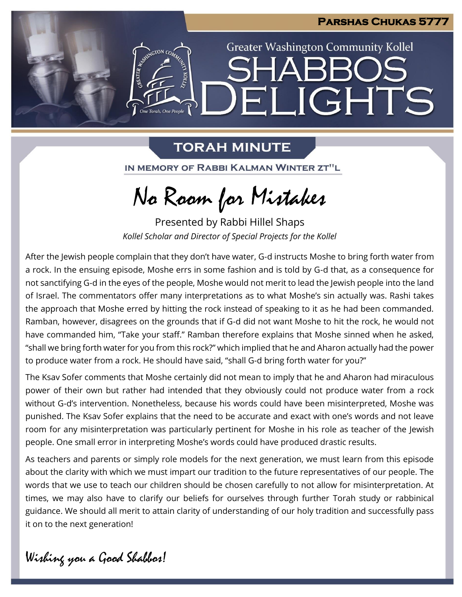

**Greater Washington Community Kollel** 

ELIGHTS

# **TORAH MINUTE**

GRATIN AVENUS COM

One Torah. One People

IN MEMORY OF RABBI KALMAN WINTER ZT"L

No Room for Mistakes

Presented by Rabbi Hillel Shaps *Kollel Scholar and Director of Special Projects for the Kollel*

After the Jewish people complain that they don't have water, G-d instructs Moshe to bring forth water from a rock. In the ensuing episode, Moshe errs in some fashion and is told by G-d that, as a consequence for not sanctifying G-d in the eyes of the people, Moshe would not merit to lead the Jewish people into the land of Israel. The commentators offer many interpretations as to what Moshe's sin actually was. Rashi takes the approach that Moshe erred by hitting the rock instead of speaking to it as he had been commanded. Ramban, however, disagrees on the grounds that if G-d did not want Moshe to hit the rock, he would not have commanded him, "Take your staff." Ramban therefore explains that Moshe sinned when he asked, "shall we bring forth water for you from this rock?" which implied that he and Aharon actually had the power to produce water from a rock. He should have said, "shall G-d bring forth water for you?"

The Ksav Sofer comments that Moshe certainly did not mean to imply that he and Aharon had miraculous power of their own but rather had intended that they obviously could not produce water from a rock without G-d's intervention. Nonetheless, because his words could have been misinterpreted, Moshe was punished. The Ksav Sofer explains that the need to be accurate and exact with one's words and not leave room for any misinterpretation was particularly pertinent for Moshe in his role as teacher of the Jewish people. One small error in interpreting Moshe's words could have produced drastic results.

As teachers and parents or simply role models for the next generation, we must learn from this episode about the clarity with which we must impart our tradition to the future representatives of our people. The words that we use to teach our children should be chosen carefully to not allow for misinterpretation. At times, we may also have to clarify our beliefs for ourselves through further Torah study or rabbinical guidance. We should all merit to attain clarity of understanding of our holy tradition and successfully pass it on to the next generation!

Wishing you a Good Shabbos!